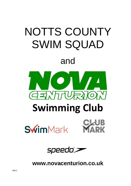



# **Swimming Club**





speedo°>

**www.novacenturion.co.uk**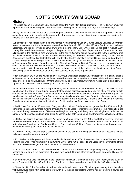# **NOTTS COUNTY SWIM SQUAD**

## **History**

The Squad began in September 1973 and was called the Notts ASA Training Scheme. The Notts ASA employed a part-time coach and training sessions were held in Nottingham in the early mornings and early evenings.

Initially the scheme was started as a six-month pilot scheme to give time for the Notts ASA to approach the local authority to support it. Unfortunately, owing to local government reorganisation, it was necessary to continue the scheme on a part-time basis until July 1975.

During this time, negotiations with the newly formed Nottinghamshire County Council Leisure Services Department proved successful and the scheme was adopted by them in April 1975. In May 1975 the first full-time coach was appointed, and this policy was continued when the present coach, Bill Furniss, took up his post in August 1980. During this period the name was changed to the present Notts County Swim Squad and the first attempts to form a link squad in the Mansfield area were made. In the early 1990's the squad was extended to the Bassetlaw area and a coach/ development officer post was created on a jointly funded basis between Notts County Council Leisure Services and the Bassetlaw District Council. Shortly after this the Mansfield District Council came on board with a similar arrangement for funding a similar position in Mansfield, taking responsibility for the Squad in that area. Later a Development Squad was formed to cover the Newark & Sherwood District. This gave us a countywide squad, which meant that no swimmer should have to travel excessive distances to train with a professional coach in a squad situation. With the current staff, the County probably has more fully qualified coaches than any other County, all working, together with various other assistant coaches in the same organisation.

When the County Swim Squad was taken over in 1975, it was hoped that for any competition of a regional, national or international level, members of the Squad would be able to swim together as a team whilst still swimming at a local level for their individual clubs. Unfortunately, the rules of the Amateur Swimming Association did not allow for squads to affiliate and in this way take part in competitions.

It was decided, therefore, to form a separate club, Nova Centurion, whose members would, in the main, also be members of the County Swim Squad in order that the above objectives could be achieved whilst still keeping faith with local clubs and ASA rules. Nova Centurion is in effect the competitive side of the County Swim Squad. All members of the Notts County Swim Squad are automatically members of Nova Centurion, the subscription being part of the monthly Squad payments. This also applied to the Bassetlaw, Mansfield and Newark & Sherwood Squads, creating a competitive outlet at Midland District and above for all swimmers in the County.

In 2001 Nova Centurion SC was one of only 6 clubs in Great Britain to be recognised by the ASA as a highperformance club and awarded funding through the World Class Performance programme. This recognition has continued through various forms of National and Regional funding, and the system in Nottinghamshire is seen as a model for all Counties and has been Swim21 accredited at both Competitive and Performance level since 2003.

In 2008 at the Beijing Olympics Rebecca Adlington won 2 gold medals in the 400m and 800m Freestyle, breaking the World Record in the 800m. Rebecca had come from Sherwood SC on to the Mansfield Squad and then to the Nottingham A Squad. At the Paralympic Games, Sam Hynd won Gold and Bronze in his category, having trained on the Mansfield Squad. Proof that the system works!

In 2009 the County Disability Squad became a section of the Squad in Nottingham with their own sessions and the swimmers joined Nova Centurion SC.

In 2012 Rebecca Adlington won 2 Bronze medals in the 400m and 800m Freestyle at the London Olympics. In the Paralympics Ollie Hynd won Gold in the 200m IM, Silver in the 400m Freestyle and Bronze in the 100m Backstroke and Charlotte Henshaw got a Silver in the SB6 100 Breaststroke.

In 2014 Ollie Hynd swam at the Commonwealth Games and the European Championship taking gold in both to become one of only a few swimmers who have held World, Olympic, Commonwealth and European titles at the same time.

In September 2016 Ollie Hynd swam at the Paralympics and won Gold medals in the 400m Freestyle and 200m IM and a Silver medal in the 100m Backstroke. Charlotte Henshaw won a bronze medal in the 100m Breaststroke.

In November 2016 the Bassetlaw Squad was discontinued, due to lack of local support making it not financially viable. However, Notts ASA continued to work with BPL, the pool contractors, with the hope of creating a new squad in the area in 2017.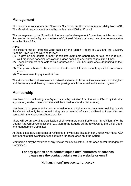## **Management**

The Squads in Nottingham and Newark & Sherwood are the financial responsibility Notts ASA. The Mansfield squads are financed by the Mansfield District Council.

The management of the Squad is in the hands of a Management Committee, which comprises, the coaches from the Squads, the Notts ASA Squad Administrator and one other representative from the Notts ASA.

## **AIMS**

The initial terms of reference were based on the 'Martin' Report of 1969 and the Coventry Scheme 1972-73, and were as follows: -

- (1) To give an appropriate number of selected swimmers opportunity to take part in regular, well-organised coaching sessions in a good coaching environment at suitable times.
- (2) These swimmers to be able to train for between 12-20+ hours per week, depending on their ability.
- (3) The whole scheme to be under the direction of a full-time, suitably qualified professional coach.
- (4) The swimmers to pay a realistic fee.

The aim would be by these means to raise the standard of competitive swimming in Nottingham and the county, and thereby increase the prestige of all concerned in the swimming world.

## **Membership**

Membership to the Nottingham Squad may be by invitation from the Notts ASA or by individual application, in which case swimmers will be asked to attend a trial evening.

Membership is open to swimmers who reside in Nottinghamshire, swimmers residing outside the County will only be accepted if they are a member of a club affiliated to Notts ASA and compete in the Notts ASA Championships.

There will be an overall reorganisation of all swimmers each September. In addition, after the County Age Group Competitions (i.e., March) the Squads will be reviewed by the Chief Coach and Management Committee.

At these times new applicants or recipients of invitations issued in conjunction with Notts ASA may attend a trial evening for consideration for acceptance onto the Squad.

Membership may be reviewed at any time on the advice of the Chief Coach and/or Management Committee.

## **For any queries or to contact squad administrators or coaches please use the contact details on the website or email**

## **Nathan.hilton@novacenturion.co.uk**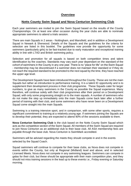## **Overview**

## **Notts County Swim Squad and Nova Centurion Swimming Club**

Each year swimmers are invited to join the Swim Squad based on the results of the County Championships. On at least one other occasion during the year clubs are able to nominate appropriate swimmers to attend a trials session.

There are main Squads in 2 areas - Nottingham, and Mansfield, and in addition a Development Squad in Newark & Sherwood. Details of the Squads and the guidelines for the criteria for selection are listed in this booklet. The guidelines now provide the opportunity for some swimmers (particularly girls) to be fast-tracked due to early maturation and exceptional training ability in line with LTAD and British swimming policy.

Selection and promotion for all squads is based on both competition times and talent identification by the coaches. Standards may vary each year dependant on the standard of the cohort of swimmers in the County in any one year. There is no "place for life" on the Swim Squad - membership may be discontinued if a swimmer does not maintain their standard or if they do not reach the required standard to be promoted to the next squad by the time, they have reached the upper age level.

The Development Squads have been introduced throughout the County. These are not the main Squads but rather an introduction to performance training. It is a talent ID opportunity and is to supplement their development process in their club programme. These Squads cater for larger numbers, to give as many swimmers in the County as possible the Squad experience. Many therefore, will continue solely with their club programmes after their period on a Development Squad, with only some progressing straight on to the main squads. A number of swimmers who do not make the step up immediately onto the main Squads come back later after a further period of training with their club, and some swimmers who have never been on a Development Squad come straight into the main Squads.

Swimming is a training intensive sport, and in comparison, with some other sports, requires a significant commitment to training at a relatively young age. If swimmers joining the Squads are to develop their potential, they are expected to attend 90% of the sessions available to them.

**Nova Centurion Swimming Club** is the club based on the Notts County Swim Squad which acts as the competitive section of the Swim Squad. All members of the Swim Squad are required to join Nova Centurion as an additional club to their base club. All ASA membership fees are payable through the base club. Nova Centurion is SwimMark accredited.

Swimmers will be advised regarding the meets they should compete in and in the events selected by the Squad Coach.

Squad swimmers will continue to compete for their base clubs, as Nova does not compete in events within the County, but only at Regional (Midland) level and above, and in selected Licensed Meets. Nova does not compete in any swimming leagues. Swimmers can compete in galas for their club, but these should be appropriate with their main competition plan, and they should not miss training sessions in the lead up to these events i.e., Friday evening or Saturday morning.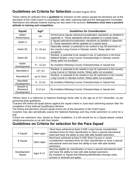# **Guidelines on Criteria for Selection** (revised August 2021)

These criteria for selection form a **guideline** for inclusion on the various squads but decisions are at the discretion of the Chief Coach in consultation with other coaching staff and the Management Committee. Attendance and attitude towards training are also taken into account**. Swimmers must have a positive attitude to training and competition.**

| <b>Squad</b>                        | Age*         | <b>Guidelines for Consideration</b>                                                                                                                           |  |  |
|-------------------------------------|--------------|---------------------------------------------------------------------------------------------------------------------------------------------------------------|--|--|
| <b>Nottm</b><br>Performance         | $14+$        | Performance Squad selection/consideration standards as detailed in<br>Appendix A. These standards will be updated on a yearly basis.                          |  |  |
| Nottm A                             | $12 +$       | A Squad selection/consideration standards as detailed in Appendix<br>B. These standards will be updated on a yearly basis.                                    |  |  |
| Nottm B1                            | 11 - 16 yrs  | Nationally ranked, or potential to be ranked in top 48 swimmers in<br>the country Long Course in Olympic events. Relay splits not<br>accepted.                |  |  |
| Nottm B <sub>2</sub>                | $9 - 14$ yrs | Ranked, or potential to be ranked in top 12 swimmers in the East<br>Midland Region Long Course Championships in Olympic events.<br>Relay splits not accepted. |  |  |
| <b>Nottm</b><br>Development         | $9 - 12$ yrs | By invitation following County Championships or Squad trial.                                                                                                  |  |  |
| Mansfield A                         | $13 + yrs$   | Ranked, or potential to be ranked in top 24 swimmers in the country<br>Long Course in Olympic events. Relay splits not accepted.                              |  |  |
| Mansfield B                         | up to 15yrs  | Ranked, or potential to be ranked in top 48 swimmers in the country<br>Long Course in Olympic events. Relay splits not accepted.                              |  |  |
| <b>Mansfield</b><br>Development     | 9 - 12 yrs   | By invitation following County Championships or Squad trial.                                                                                                  |  |  |
| Newark &<br>Sherwood<br>Development | 9-12 yrs     | By invitation following County Championships or Squad trial.                                                                                                  |  |  |

\*Where there is a reference to National Rankings these refer to the age as of 31<sup>st</sup> December, as per governing body guidelines.

Coaches will review all squad places against the squad criteria in June each swimming season after the completion of the National Qualification Window.

The timing and decisions around squad moves are at the discretion of the Chief Coach.

Coaches may also periodically assess the National Rankings and may invite swimmers to come for a trial.

If there are swimmers who, based on these Guidelines, it is felt should be on a Squad please contact info@novacenturion.co.uk with their details.

## **Guidelines on Criteria for selection for the Para Squad**

|                |           | Must have achieved at least 3 DSE Long Course consideration             |
|----------------|-----------|-------------------------------------------------------------------------|
| A Squad        | Open ages | standard times for their classification or have a special educational   |
|                |           | need and have the ability to train with able bodied swimmers.           |
|                |           | Must have achieved at least 3 DSE Short Course or Junior                |
| <b>B</b> Squad | Open ages | consideration standard times for their classification or have a special |
|                |           | educational need and have the ability to train with able bodied         |
|                |           | swimmers.                                                               |
|                |           | Must be eligible for classification or have a special educational need  |
| Development    |           | and have the ability to train with able bodied swimmers.                |
| Squad          | Ages 9-14 | By Invitation or Squad trial following identification through clubs,    |
|                |           | schools or festivals and galas.                                         |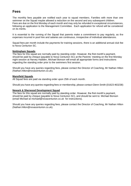# **Fees**

The monthly fees payable are notified each year to squad members. Families with more than one swimmer on the Squad maybe allowed a reduction on the second and any subsequent children. Fees are due on the first Monday of each month and may only be refunded in exceptional circumstances, following an application to the Management Committee. Each application for refund will be considered on its merits.

It is essential to the running of the Squad that parents make a commitment to pay regularly, as the expenses incurred in pool hire and salaries are continuous, irrespective of individual attendances.

Squad fees per month include the payments for training sessions, there is an additional annual club fee to Nova Centurion SC.

#### **Nottingham Squads**

The fees for this squad are normally paid by standing order. However, the first month's payment, should be paid by cheque (payable to Nova Centurion SC) at the Parents' meeting on the first Monday night session at Harvey Hadden, Michael Bonson will email all appropriate forms and instructions regarding the standing order prior to the swimmers first session.

Should you have any queries regarding fees, please contact the Director of Coaching, Mr Nathan Hilton (Nathan.hilton@novacenturion.co.uk).

#### **Mansfield Squads**

All Squad fees are paid via standing order upon 25th of each month.

Should you have any queries regarding fees or membership, please contact Glenn Smith (01623 463238)

#### **Newark & Sherwood Development Squad**

The fees for this squad are normally paid by standing order. However, the first month's payment, should be paid by cheque (payable to Nova Centurion SC), and should be sent to: Michael Bonson (email Michael at michael@novacenturion.co.uk for instructions).

Should you have any queries regarding fees, please contact the Director of Coaching, Mr Nathan Hilton (Nathan.hilton@novacenturion.co.uk).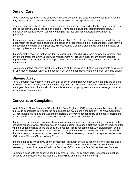# **Duty of Care**

Notts ASA employed swimming coaches and Nova Centurion SC coaches have responsibility for the duty of care of swimmers on the poolside and in the water during training sessions.

Parents / guardians should bring their children on time and are responsible for their safety and welfare prior to the start of, and at the end of, training. They should ensure that their swimmers conduct themselves responsibly when using the changing facilities and act in accordance with facility guidelines.

If, during a session, a swimmer goes out of the pool area (e.g., to the changing rooms or toilets) they must inform the coach and if he/she fails to return in a reasonable time, or appears upset upon leaving the poolside the coach, where possible, will request that a suitable club official and another adult, or two appropriate adults investigate.

If a complaint is received that an incident has occurred in the changing room between a swimmer and any other person, the Swim Squad/Club Management will act upon that concern and investigate appropriately. If the incident involves a person not associated with the club, the pool manager will be made aware.

Swimmers must be collected punctually at the end of the sessions and if this is not possible because of an emergency situation, parental instruction must be communicated to another parent or a club official.

## **Staying Away**

Nova Centurion has a policy, in line with that of British Swimming, whereby when the club are booking accommodation at events, the team hotel is only used by official team members, coaches and team managers. Family and friends should be made aware of this policy so that they can arrange to stay in alternative accommodation**.**

# **Concerns or Complaints**

Notts ASA and Nova Centurion SC uphold the Swim England (ASA) safeguarding policies and also aim to provide appropriate training for the best competitive swimmers in the County. The Nova Centurion SC constitution states that "the welfare of children is everyone's responsibility and that all children and young people have a right to have fun, be safe and be protected from harm."

If a swimmer or parent of a swimmer have a concern about any issue during training, behaviour in the changing areas, or whilst staying away on a training camp, this should firstly be raised by email or letter with the Squad coaches taking the session. If you feel this is not being dealt with satisfactorily, or their Squad coach feels it necessary, this can then be passed to the Head Coach, and if the situation still does not seem to be resolved or the Head Coach feels it necessary, it should be reported to the Notts ASA current Welfare Officer, Wendy Coles.

If there is an issue whilst away at any competition, this again should be reported to the coaches and if necessary, to the Head Coach, and if it does not seem to be resolved or the Head Coach feels it necessary, it should be reported to Nova Centurion SC's current Welfare Officer, Rachael Boneham.

Raising an issue with the coaches can be by email or letter, or by either party requesting a meeting. Issues to be discussed with the Welfare Officer will be at a more formal meeting.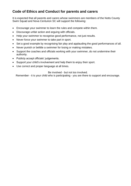# **Code of Ethics and Conduct for parents and carers**

It is expected that all parents and carers whose swimmers are members of the Notts County Swim Squad and Nova Centurion SC will support the following:

- Encourage your swimmer to learn the rules and compete within them.
- Discourage unfair action and arguing with officials.
- Help your swimmer to recognise good performance, not just results.
- Never force your swimmer to take part in sport.
- Set a good example by recognising fair play and applauding the good performances of all.
- Never punish or belittle a swimmer for losing or making mistakes.
- Support the coaches and officials working with your swimmer, do not undermine their authority.
- Publicly accept officials' judgements.
- Support your child's involvement and help them to enjoy their sport.
- Use correct and proper language at all times.

## Be involved - but not too involved.

Remember - it is your child who is participating - you are there to support and encourage.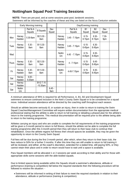# **Nottingham Squad Pool Training Sessions**

**NOTE:** There are pre-pool, and at some sessions post-pool, landwork sessions. Swimmers will be informed by the coaches of these and they are listed on the Nova Centurion website.

|              | Early Morning training |                    |                          |                 |                     | Day/Evening training |                         |                    |                 |  |
|--------------|------------------------|--------------------|--------------------------|-----------------|---------------------|----------------------|-------------------------|--------------------|-----------------|--|
|              |                        | Perf & A<br>Squads | <b>B</b> Squads          | Dev<br>Squad    |                     | Perf & A<br>Squads   | B <sub>1</sub><br>Squad | <b>B2</b><br>Squad | Dev<br>Squad    |  |
| Mon          | Harvey<br>Hadden       | 5.30-8am           | B2 5.30 -<br>8am         |                 | Harvey<br>Hadden    | $3.45 - 7.15$ pm     | $6.15 -$<br>8.15pm      | $6.30 -$<br>8.15pm | $7.30 -$<br>9pm |  |
| Tues         | Harvey<br>Hadden       | $5.30 -$<br>8am    | B1 5.30 -<br>8am         |                 | Harvey<br>Hadden    | $3.45 - 7.15$ pm     | $6.15 -$<br>8.45pm      | $6.30 -$<br>8.45pm |                 |  |
| Wed          |                        |                    |                          |                 | <b>Nottm</b><br>Uni | $4.45 - 7.15$ pm     | $6.15 -$<br>8.45pm      | $6.30 -$<br>8.45pm |                 |  |
| <b>Thurs</b> | Harvey<br>Hadden       | $5.30 -$<br>8am    | B2 5.30 -<br>8am         |                 | Harvey<br>Hadden    | $4 - 7.15$ pm        | $6.15 -$<br>8.45pm      | $6.45 -$<br>8.45pm |                 |  |
| Fri          | Harvey<br>Hadden       | $5.30 -$<br>8am    | B1 5.30 -<br>8am         |                 | <b>Nottm</b><br>Uni | 4.45-7.15pm          | $6.15 -$<br>8.45pm      | $6.30 -$<br>8.45pm |                 |  |
| Sat          | Harvey<br>Hadden       | $6.00 -$<br>9.30am |                          |                 |                     |                      |                         |                    |                 |  |
| Sat          | Harvey<br>Hadden       |                    | B1/2 7.15<br>$-10.30$ am |                 |                     |                      |                         |                    |                 |  |
| Sat          | <b>Nottm</b><br>Uni    |                    |                          | $6.45 -$<br>9am |                     |                      |                         |                    |                 |  |

A minimum attendance of 95% is required for all Performance, A, B1, B2 and Development Squad swimmers to ensure continued inclusion in the Nott's County Swim Squad or to be considered for a squad move. Individual session attendance will be directed by the coaching staff throughout each season.

Should an athlete become seriously ill, or sustain an injury, then in order to return to training the Swim Squad Coaches/Management Committee will require written documentation from the appropriate medical professional stating that the athlete is able to return to full training or detailing a phased plan for the athlete's return to the training programme. This medical documentation will be required prior to the athlete being able to return to the training programme.

Athletes carrying an injury and who are unable to complete the full requirements of the training programme will be given a 3-month period to return to full fitness, should the athlete not be able to complete the full training programme after this 3-month period then they will return to their base club to continue their rehabilitation. Once the athlete regains full fitness then should spaces be available, they may be given the opportunity to return to the County Swim Squad.

Full fees will be due during the first 3-month period, after which, when they return to their base club, the fees reduce to 50% for a further 3 months. If after this time they are still unable to return to full training it will be reviewed, and either, at the coach's discretion, extended for a stated time, still paying 50%, or they cannot retain their place and in order to return would have to wait until a space is available.

Para Squad members will be allocated 1 or 2 sessions per week according to their ability and for those with appropriate skills some sessions with the able-bodied squads.

Due to limited spaces being available within the Squads should a swimmer's attendance, attitude or performance (training & competition) fall below the required standards then the following procedure will be followed to resolve the situation: -

• Swimmers will be informed in writing of their failure to meet the required standards in relation to their attendance, attitude or performance (training & competition).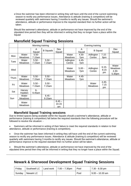• Once the swimmer has been informed in writing they will have until the end of the current swimming season to rectify any performance issues. Attendance & attitude (training & competition) will be reviewed quarterly with swimmers having 3 months to rectify any issues. Should the swimmer's attendance, attitude or performance improve to the required standard then no further action will be taken.

Should the swimmer's attendance, attitude or performance not have improved by the end of the stipulated time period then they will be informed in writing that they no longer have a place within the Squad

|              | Morning training        |                    |                    |                         | Evening training        |                 |                         |                        |                                               |
|--------------|-------------------------|--------------------|--------------------|-------------------------|-------------------------|-----------------|-------------------------|------------------------|-----------------------------------------------|
|              |                         | A<br>Squad         | <b>B</b> Squads    | Dev<br>Squad            |                         | A<br>Squad      | <b>B</b> Squad          |                        | Dev<br>Squad                                  |
| Mon          | Water<br><b>Meadows</b> | $5.50 -$<br>7.15am |                    |                         | Water<br><b>Meadows</b> | $4.30 -$<br>7pm | Adlington<br>Centre     | $7.15 -$<br>9pm        |                                               |
| Tues         | Water<br><b>Meadows</b> | $5.50 -$<br>7.15am | $5.50 -$<br>7.15am |                         | Adlington<br>Centre     | $4.45 -$<br>7pm |                         |                        |                                               |
| Wed          |                         |                    |                    |                         | Water<br><b>Meadows</b> | $5.00 -$<br>7pm | Adlington<br>Centre     | $6.15 -$<br>8.15<br>pm | Water<br><b>Meadows</b><br>$4.30 -$<br>5.30pm |
| <b>Thurs</b> | Water<br><b>Meadows</b> | $5.50 -$<br>7.15am | $5.50 -$<br>7.15am |                         | Water<br><b>Meadows</b> | $4.45 -$<br>7pm |                         |                        |                                               |
| Fri          | Water<br><b>Meadows</b> | $5.50 -$<br>7.15am | $5.50 -$<br>7.15am |                         |                         |                 | Water<br><b>Meadows</b> | $4.45 -$<br>7.15<br>pm |                                               |
| Sat          | Harvey<br>Hadden        | $6-$<br>9.45am     |                    |                         |                         |                 |                         |                        |                                               |
| Sun          | Water<br><b>Meadows</b> |                    | $6.45 -$<br>9.15am |                         |                         |                 |                         |                        |                                               |
|              | Water<br><b>Meadows</b> |                    |                    | $8.45 -$<br>10.15<br>am |                         |                 |                         |                        |                                               |

# **Mansfield Squad Training Sessions**

## **Mansfield Squad Training sessions**

Due to limited spaces being available within the Squads should a swimmer's attendance, attitude or performance (training & competition) fall below the required standards then the following procedure will be followed to resolve the situation: -

• Swimmers will be informed in writing of their failure to meet the required standards in relation to their attendance, attitude or performance (training & competition).

• Once the swimmer has been informed in writing they will have until the end of the current swimming season to rectify any performance issues. Attendance & attitude (training & competition) will be reviewed quarterly with swimmers having 3 months to rectify any issues. Should the swimmer's attendance, attitude or performance improve to the required standard then no further action will be taken.

• Should the swimmer's attendance, attitude or performance not have improved by the end of the stipulated time period then they will be informed in writing that they no longer have a place within the Squad.

# **Newark & Sherwood Development Squad Training Sessions**

| Friday | Southwell LC | Land work   $7.00 - 7.30$ pm | Pool | 7.30 - 8.30 pm    |
|--------|--------------|------------------------------|------|-------------------|
| Sunday | Newark LC    |                              | Pool | $9.00 - 10.30$ am |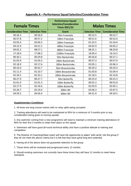|                           |                       | <b>Performance Squad</b>                               |                       |                           |
|---------------------------|-----------------------|--------------------------------------------------------|-----------------------|---------------------------|
| <b>Female Times</b>       |                       | <b>Selection/Consideration</b><br><b>Times 2021/22</b> |                       | <b>Males Times</b>        |
| <b>Consideration Time</b> | <b>Selection Time</b> | <b>Event</b>                                           | <b>Selection Time</b> | <b>Consideration Time</b> |
| 00:26.3                   | 00:26.0               | 50m Freestyle                                          | 00:23.5               | 00:23.7                   |
| 00:57.8                   | 00:57.2               | 100m Freestyle                                         | 00:51.6               | 00:52.0                   |
| 02:05.4                   | 02:04.3               | 200m Freestyle                                         | 01:53.5               | 01:54.6                   |
| 04:23.9                   | 04:21.5               | 400m Freestyle                                         | 04:02.9               | 04:05.2                   |
| 09:02.2                   | 08:57.1               | 800m Freestyle                                         | 08:25.1               | 08:29.8                   |
| 17:18.0                   | 17:08.3               | 1500m Freestyle                                        | 16:05.4               | 16:14.5                   |
| 00:30.1                   | 00:29.8               | 50m Backstroke                                         | 00:26.8               | 00:27.1                   |
| 01:03.9                   | 01:03.3               | 100m Backstroke                                        | 00:57.3               | 00:57.9                   |
| 02:18.9                   | 02:17.6               | 200m Backstroke                                        | 02:05.1               | 02:06.3                   |
| 00:33.0                   | 00:32.7               | 50m Breaststroke                                       | 00:29.2               | 00:29.4                   |
| 01:11.4                   | 01:10.7               | 100m Breaststroke                                      | 01:03.8               | 01:04.4                   |
| 02:34.5                   | 02:33.1               | 200m Breaststroke                                      | 02:18.5               | 02:19.8                   |
| 00:27.9                   | 00:27.7               | 50m Butterfly                                          | 00:25.0               | 00:25.3                   |
| 01:01.9                   | 01:01.3               | 100m Butterfly                                         | 00:55.3               | 00:55.8                   |
| 02:17.9                   | 02:16.6               | 200m Butterfly                                         | 02:03.9               | 02:05.1                   |
| 02:20.7                   | 02:19.4               | 200m IM                                                | 02:06.3               | 02:07.5                   |
| 04:59.2                   | 04:56.4               | 400m IM                                                | 04:31.9               | 04:34.5                   |

## **Appendix A – Performance Squad Selection/Consideration Times**

#### **Supplementary Conditions**

1. All times are long course metres with no relay splits being accepted

2. Training attendance will need to be maintained at 95% for a minimum of 3 months prior to any consideration being given to moving squads

3. Any swimmer coming from a new programme will need to maintain a minimum training attendance of 95% for their first 3 months to retain their place on the squad

4. Swimmers will have good all-round technical ability and have a positive attitude to training and competition

5. The Director of Coaching/Head coach will have the opportunity to select 'wild cards' into the group if they do not meet the above criteria but it is felt that they have good long-term potential

6. Having all of the above does not guarantee selection to the group

7. These times will be reviewed and progressed every 12 months

8. Should existing swimmers not currently have these times they will have 12 months to meet these standards